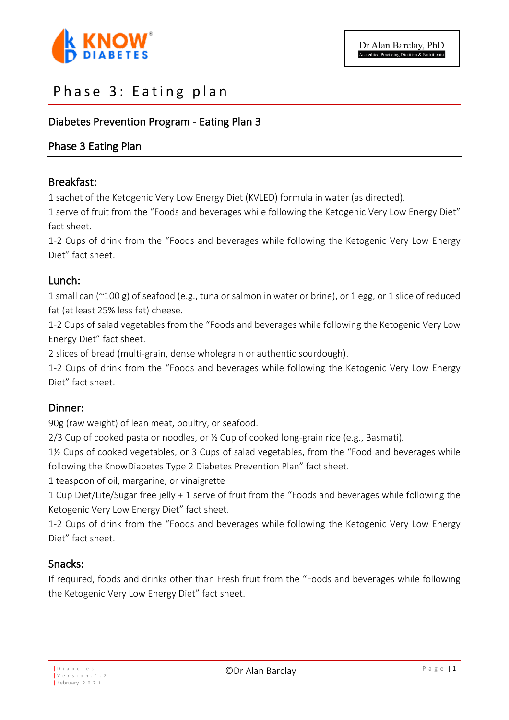

# Phase 3: Eating plan

## Diabetes Prevention Program - Eating Plan 3

### Phase 3 Eating Plan

### Breakfast:

1 sachet of the Ketogenic Very Low Energy Diet (KVLED) formula in water (as directed).

1 serve of fruit from the "Foods and beverages while following the Ketogenic Very Low Energy Diet" fact sheet.

1-2 Cups of drink from the "Foods and beverages while following the Ketogenic Very Low Energy Diet" fact sheet.

### Lunch:

1 small can (~100 g) of seafood (e.g., tuna or salmon in water or brine), or 1 egg, or 1 slice of reduced fat (at least 25% less fat) cheese.

1-2 Cups of salad vegetables from the "Foods and beverages while following the Ketogenic Very Low Energy Diet" fact sheet.

2 slices of bread (multi-grain, dense wholegrain or authentic sourdough).

1-2 Cups of drink from the "Foods and beverages while following the Ketogenic Very Low Energy Diet" fact sheet.

### Dinner:

90g (raw weight) of lean meat, poultry, or seafood.

 $2/3$  Cup of cooked pasta or noodles, or  $\frac{1}{2}$  Cup of cooked long-grain rice (e.g., Basmati).

1½ Cups of cooked vegetables, or 3 Cups of salad vegetables, from the "Food and beverages while following the KnowDiabetes Type 2 Diabetes Prevention Plan" fact sheet.

1 teaspoon of oil, margarine, or vinaigrette

1 Cup Diet/Lite/Sugar free jelly + 1 serve of fruit from the "Foods and beverages while following the Ketogenic Very Low Energy Diet" fact sheet.

1-2 Cups of drink from the "Foods and beverages while following the Ketogenic Very Low Energy Diet" fact sheet.

### Snacks:

If required, foods and drinks other than Fresh fruit from the "Foods and beverages while following the Ketogenic Very Low Energy Diet" fact sheet.